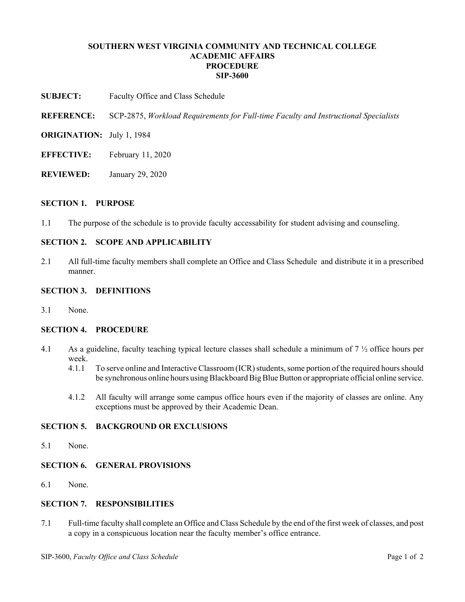## **SOUTHERN WEST VIRGINIA COMMUNITY AND TECHNICAL COLLEGE ACADEMIC AFFAIRS PROCEDURE SIP-3600**

**SUBJECT:** Faculty Office and Class Schedule

**REFERENCE:** SCP-2875, *Workload Requirements for Full-time Faculty and Instructional Specialists*

- **ORIGINATION:** July 1, 1984
- **EFFECTIVE:** February 11, 2020
- **REVIEWED:** January 29, 2020

### **SECTION 1. PURPOSE**

1.1 The purpose of the schedule is to provide faculty accessability for student advising and counseling.

## **SECTION 2. SCOPE AND APPLICABILITY**

2.1 All full-time faculty members shall complete an Office and Class Schedule and distribute it in a prescribed manner.

## **SECTION 3. DEFINITIONS**

3.1 None.

### **SECTION 4. PROCEDURE**

- 4.1 As a guideline, faculty teaching typical lecture classes shall schedule a minimum of 7 ½ office hours per week.
	- 4.1.1 To serve online and Interactive Classroom (ICR) students, some portion of the required hours should be synchronous online hours using Blackboard Big Blue Button or appropriate official online service.
	- 4.1.2 All faculty will arrange some campus office hours even if the majority of classes are online. Any exceptions must be approved by their Academic Dean.

# **SECTION 5. BACKGROUND OR EXCLUSIONS**

5.1 None.

# **SECTION 6. GENERAL PROVISIONS**

6.1 None.

# **SECTION 7. RESPONSIBILITIES**

7.1 Full-time faculty shall complete an Office and Class Schedule by the end of the first week of classes, and post a copy in a conspicuous location near the faculty member's office entrance.